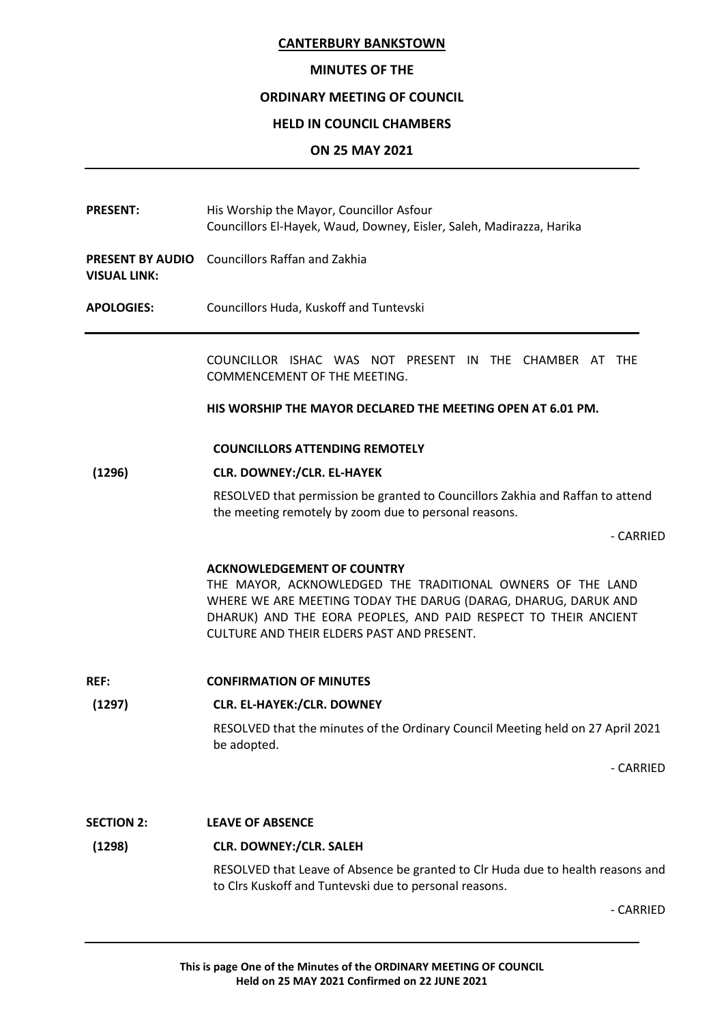## **MINUTES OF THE**

## **ORDINARY MEETING OF COUNCIL**

## **HELD IN COUNCIL CHAMBERS**

## **ON 25 MAY 2021**

PRESENT: His Worship the Mayor, Councillor Asfour Councillors El-Hayek, Waud, Downey, Eisler, Saleh, Madirazza, Harika

**PRESENT BY AUDIO** Councillors Raffan and Zakhia **VISUAL LINK:**

**APOLOGIES:** Councillors Huda, Kuskoff and Tuntevski

COUNCILLOR ISHAC WAS NOT PRESENT IN THE CHAMBER AT THE COMMENCEMENT OF THE MEETING.

**HIS WORSHIP THE MAYOR DECLARED THE MEETING OPEN AT 6.01 PM.**

#### **COUNCILLORS ATTENDING REMOTELY**

## **(1296) CLR. DOWNEY:/CLR. EL-HAYEK**

RESOLVED that permission be granted to Councillors Zakhia and Raffan to attend the meeting remotely by zoom due to personal reasons.

- CARRIED

### **ACKNOWLEDGEMENT OF COUNTRY**

THE MAYOR, ACKNOWLEDGED THE TRADITIONAL OWNERS OF THE LAND WHERE WE ARE MEETING TODAY THE DARUG (DARAG, DHARUG, DARUK AND DHARUK) AND THE EORA PEOPLES, AND PAID RESPECT TO THEIR ANCIENT CULTURE AND THEIR ELDERS PAST AND PRESENT.

**REF: CONFIRMATION OF MINUTES**

### **(1297) CLR. EL-HAYEK:/CLR. DOWNEY**

RESOLVED that the minutes of the Ordinary Council Meeting held on 27 April 2021 be adopted.

- CARRIED

### **SECTION 2: LEAVE OF ABSENCE**

### **(1298) CLR. DOWNEY:/CLR. SALEH**

RESOLVED that Leave of Absence be granted to Clr Huda due to health reasons and to Clrs Kuskoff and Tuntevski due to personal reasons.

- CARRIED

**This is page One of the Minutes of the ORDINARY MEETING OF COUNCIL Held on 25 MAY 2021 Confirmed on 22 JUNE 2021**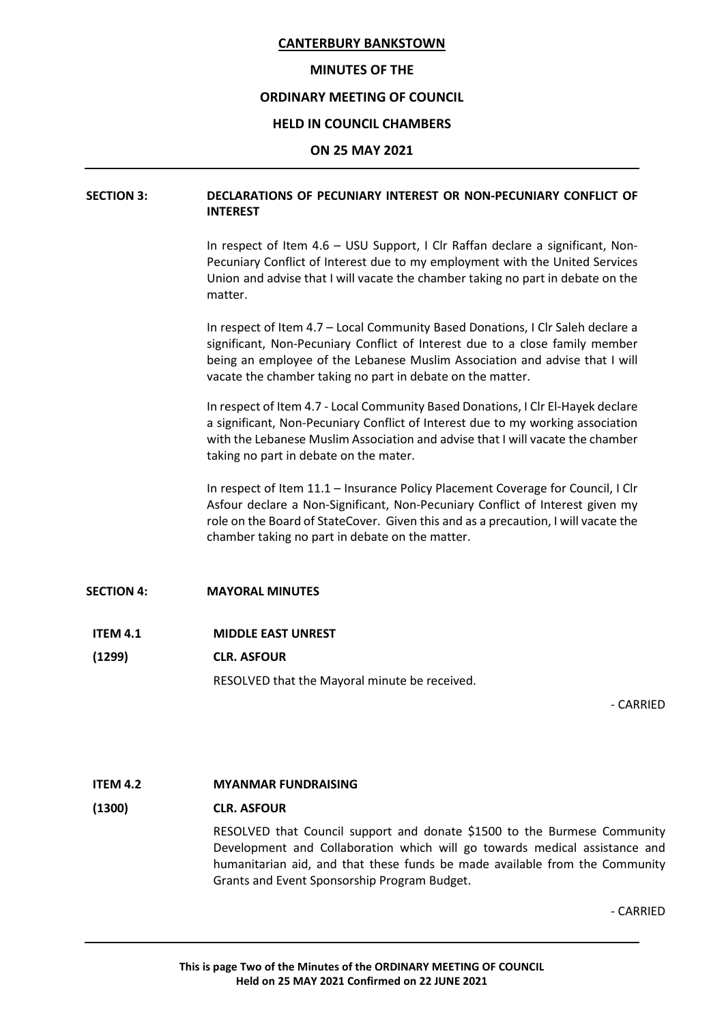#### **MINUTES OF THE**

### **ORDINARY MEETING OF COUNCIL**

#### **HELD IN COUNCIL CHAMBERS**

#### **ON 25 MAY 2021**

## **SECTION 3: DECLARATIONS OF PECUNIARY INTEREST OR NON-PECUNIARY CONFLICT OF INTEREST**

In respect of Item 4.6 – USU Support, I Clr Raffan declare a significant, Non-Pecuniary Conflict of Interest due to my employment with the United Services Union and advise that I will vacate the chamber taking no part in debate on the matter.

In respect of Item 4.7 – Local Community Based Donations, I Clr Saleh declare a significant, Non-Pecuniary Conflict of Interest due to a close family member being an employee of the Lebanese Muslim Association and advise that I will vacate the chamber taking no part in debate on the matter.

In respect of Item 4.7 - Local Community Based Donations, I Clr El-Hayek declare a significant, Non-Pecuniary Conflict of Interest due to my working association with the Lebanese Muslim Association and advise that I will vacate the chamber taking no part in debate on the mater.

In respect of Item 11.1 – Insurance Policy Placement Coverage for Council, I Clr Asfour declare a Non-Significant, Non-Pecuniary Conflict of Interest given my role on the Board of StateCover. Given this and as a precaution, I will vacate the chamber taking no part in debate on the matter.

### **SECTION 4: MAYORAL MINUTES**

### **ITEM 4.1 MIDDLE EAST UNREST**

**(1299) CLR. ASFOUR**

RESOLVED that the Mayoral minute be received.

- CARRIED

### **ITEM 4.2 MYANMAR FUNDRAISING**

#### **(1300) CLR. ASFOUR**

RESOLVED that Council support and donate \$1500 to the Burmese Community Development and Collaboration which will go towards medical assistance and humanitarian aid, and that these funds be made available from the Community Grants and Event Sponsorship Program Budget.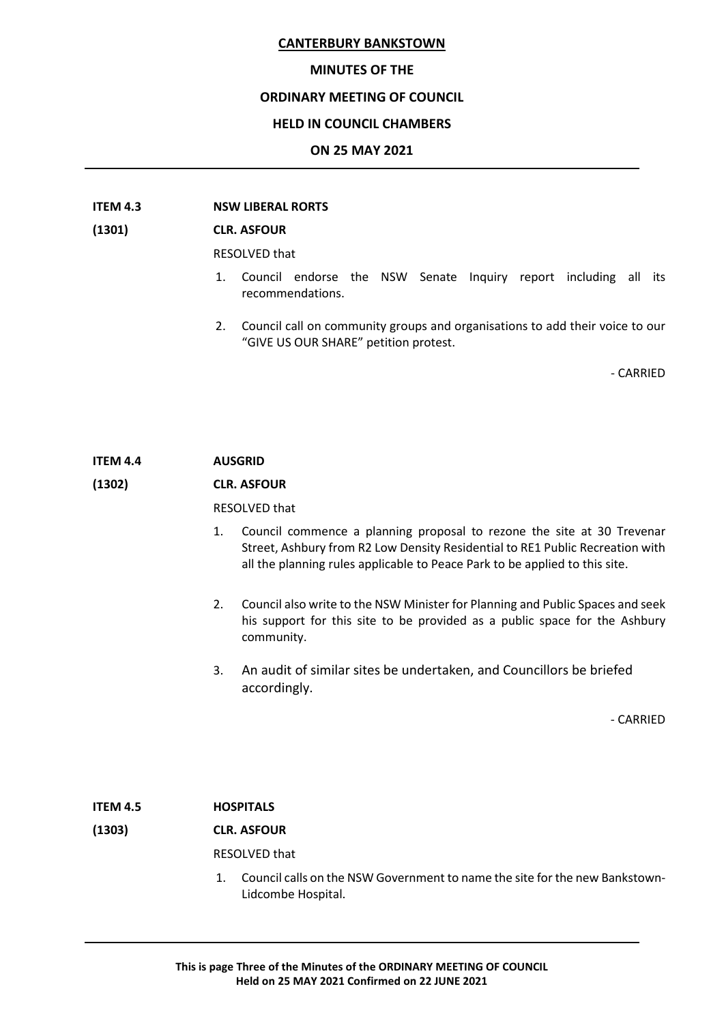#### **MINUTES OF THE**

#### **ORDINARY MEETING OF COUNCIL**

#### **HELD IN COUNCIL CHAMBERS**

#### **ON 25 MAY 2021**

#### **ITEM 4.3 NSW LIBERAL RORTS**

#### **(1301) CLR. ASFOUR**

RESOLVED that

- 1. Council endorse the NSW Senate Inquiry report including all its recommendations.
- 2. Council call on community groups and organisations to add their voice to our "GIVE US OUR SHARE" petition protest.

- CARRIED

## **ITEM 4.4 AUSGRID**

### **(1302) CLR. ASFOUR**

#### RESOLVED that

- 1. Council commence a planning proposal to rezone the site at 30 Trevenar Street, Ashbury from R2 Low Density Residential to RE1 Public Recreation with all the planning rules applicable to Peace Park to be applied to this site.
- 2. Council also write to the NSW Minister for Planning and Public Spaces and seek his support for this site to be provided as a public space for the Ashbury community.
- 3. An audit of similar sites be undertaken, and Councillors be briefed accordingly.

- CARRIED

## **ITEM 4.5 HOSPITALS**

## **(1303) CLR. ASFOUR**

RESOLVED that

1. Council calls on the NSW Government to name the site for the new Bankstown-Lidcombe Hospital.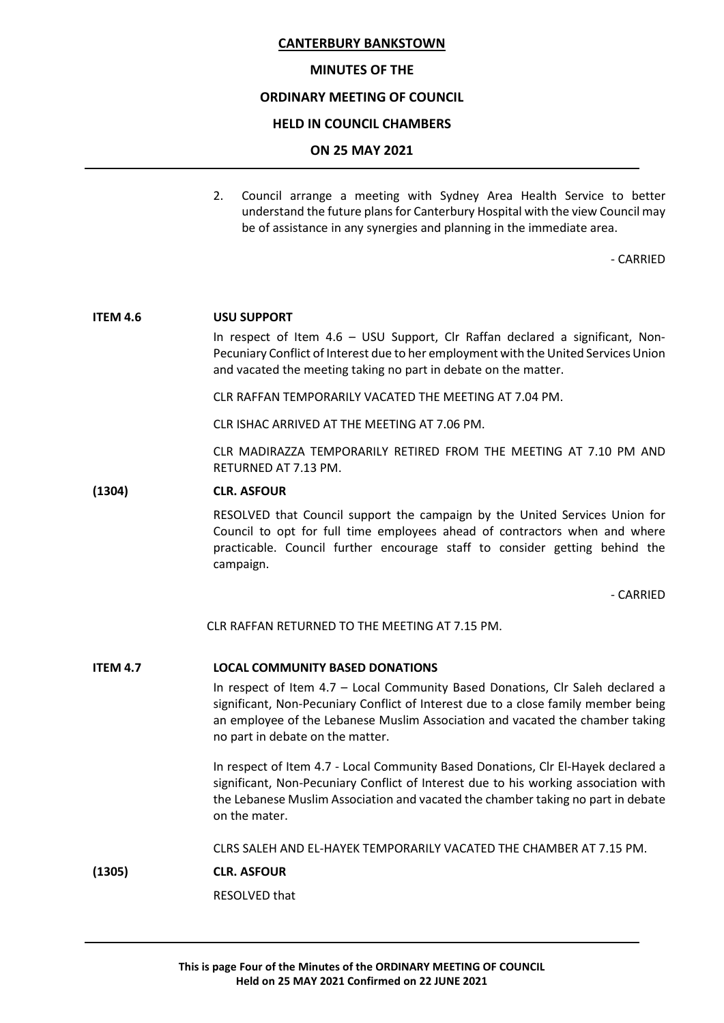#### **MINUTES OF THE**

### **ORDINARY MEETING OF COUNCIL**

#### **HELD IN COUNCIL CHAMBERS**

#### **ON 25 MAY 2021**

2. Council arrange a meeting with Sydney Area Health Service to better understand the future plans for Canterbury Hospital with the view Council may be of assistance in any synergies and planning in the immediate area.

- CARRIED

#### **ITEM 4.6 USU SUPPORT**

In respect of Item 4.6 – USU Support, Clr Raffan declared a significant, Non-Pecuniary Conflict of Interest due to her employment with the United Services Union and vacated the meeting taking no part in debate on the matter.

CLR RAFFAN TEMPORARILY VACATED THE MEETING AT 7.04 PM.

CLR ISHAC ARRIVED AT THE MEETING AT 7.06 PM.

CLR MADIRAZZA TEMPORARILY RETIRED FROM THE MEETING AT 7.10 PM AND RETURNED AT 7.13 PM.

#### **(1304) CLR. ASFOUR**

RESOLVED that Council support the campaign by the United Services Union for Council to opt for full time employees ahead of contractors when and where practicable. Council further encourage staff to consider getting behind the campaign.

- CARRIED

CLR RAFFAN RETURNED TO THE MEETING AT 7.15 PM.

#### **ITEM 4.7 LOCAL COMMUNITY BASED DONATIONS**

In respect of Item 4.7 – Local Community Based Donations, Clr Saleh declared a significant, Non-Pecuniary Conflict of Interest due to a close family member being an employee of the Lebanese Muslim Association and vacated the chamber taking no part in debate on the matter.

In respect of Item 4.7 - Local Community Based Donations, Clr El-Hayek declared a significant, Non-Pecuniary Conflict of Interest due to his working association with the Lebanese Muslim Association and vacated the chamber taking no part in debate on the mater.

CLRS SALEH AND EL-HAYEK TEMPORARILY VACATED THE CHAMBER AT 7.15 PM.

**(1305) CLR. ASFOUR**

RESOLVED that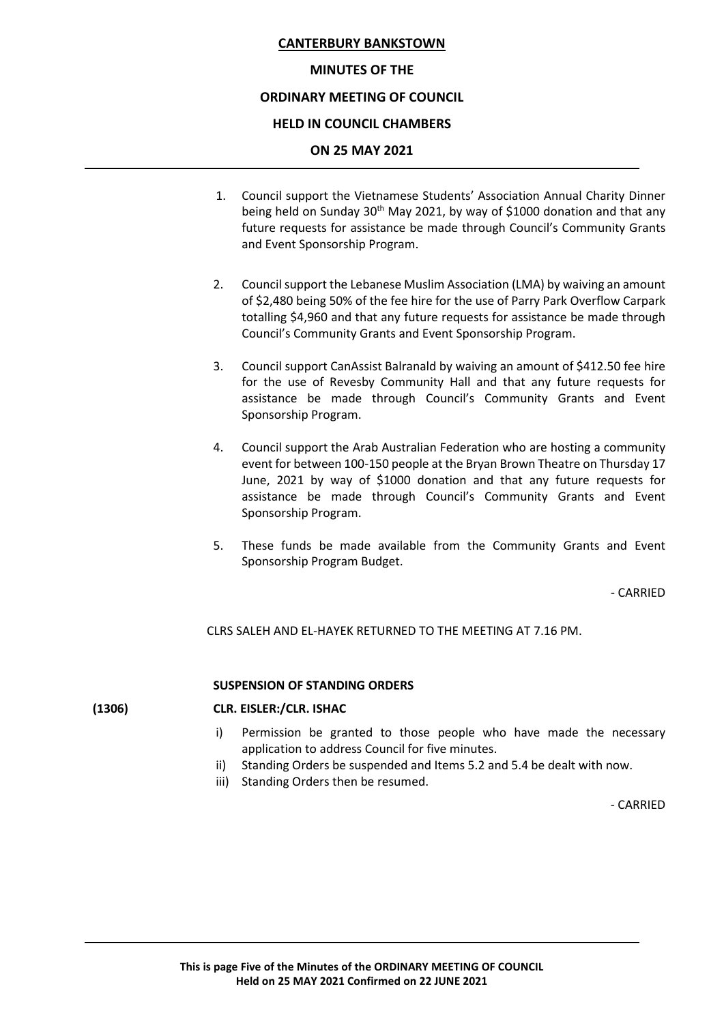#### **MINUTES OF THE**

### **ORDINARY MEETING OF COUNCIL**

#### **HELD IN COUNCIL CHAMBERS**

#### **ON 25 MAY 2021**

- 1. Council support the Vietnamese Students' Association Annual Charity Dinner being held on Sunday  $30<sup>th</sup>$  May 2021, by way of \$1000 donation and that any future requests for assistance be made through Council's Community Grants and Event Sponsorship Program.
- 2. Council support the Lebanese Muslim Association (LMA) by waiving an amount of \$2,480 being 50% of the fee hire for the use of Parry Park Overflow Carpark totalling \$4,960 and that any future requests for assistance be made through Council's Community Grants and Event Sponsorship Program.
- 3. Council support CanAssist Balranald by waiving an amount of \$412.50 fee hire for the use of Revesby Community Hall and that any future requests for assistance be made through Council's Community Grants and Event Sponsorship Program.
- 4. Council support the Arab Australian Federation who are hosting a community event for between 100-150 people at the Bryan Brown Theatre on Thursday 17 June, 2021 by way of \$1000 donation and that any future requests for assistance be made through Council's Community Grants and Event Sponsorship Program.
- 5. These funds be made available from the Community Grants and Event Sponsorship Program Budget.

- CARRIED

CLRS SALEH AND EL-HAYEK RETURNED TO THE MEETING AT 7.16 PM.

#### **SUSPENSION OF STANDING ORDERS**

### **(1306) CLR. EISLER:/CLR. ISHAC**

- i) Permission be granted to those people who have made the necessary application to address Council for five minutes.
- ii) Standing Orders be suspended and Items 5.2 and 5.4 be dealt with now.
- iii) Standing Orders then be resumed.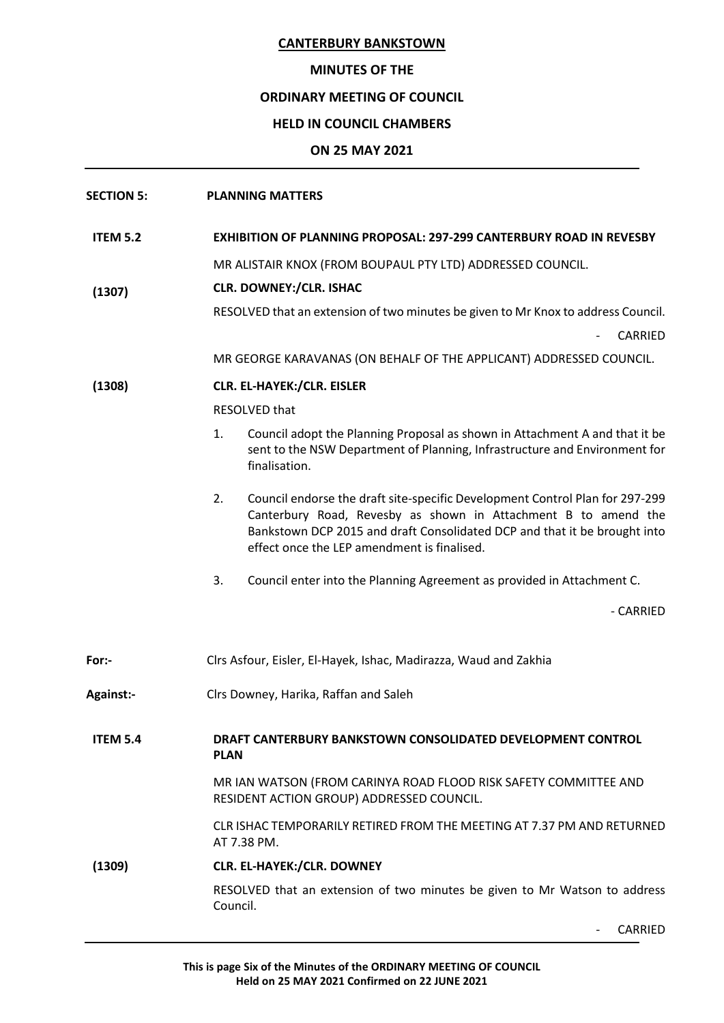## **MINUTES OF THE**

## **ORDINARY MEETING OF COUNCIL**

## **HELD IN COUNCIL CHAMBERS**

## **ON 25 MAY 2021**

| <b>SECTION 5:</b> | <b>PLANNING MATTERS</b>                                                                                                                                                                                                                                                          |  |
|-------------------|----------------------------------------------------------------------------------------------------------------------------------------------------------------------------------------------------------------------------------------------------------------------------------|--|
| <b>ITEM 5.2</b>   | <b>EXHIBITION OF PLANNING PROPOSAL: 297-299 CANTERBURY ROAD IN REVESBY</b>                                                                                                                                                                                                       |  |
|                   | MR ALISTAIR KNOX (FROM BOUPAUL PTY LTD) ADDRESSED COUNCIL.                                                                                                                                                                                                                       |  |
| (1307)            | <b>CLR. DOWNEY:/CLR. ISHAC</b>                                                                                                                                                                                                                                                   |  |
|                   | RESOLVED that an extension of two minutes be given to Mr Knox to address Council.<br>CARRIED                                                                                                                                                                                     |  |
|                   | MR GEORGE KARAVANAS (ON BEHALF OF THE APPLICANT) ADDRESSED COUNCIL.                                                                                                                                                                                                              |  |
| (1308)            | <b>CLR. EL-HAYEK:/CLR. EISLER</b>                                                                                                                                                                                                                                                |  |
|                   | RESOLVED that                                                                                                                                                                                                                                                                    |  |
|                   | Council adopt the Planning Proposal as shown in Attachment A and that it be<br>1.<br>sent to the NSW Department of Planning, Infrastructure and Environment for<br>finalisation.                                                                                                 |  |
|                   | 2.<br>Council endorse the draft site-specific Development Control Plan for 297-299<br>Canterbury Road, Revesby as shown in Attachment B to amend the<br>Bankstown DCP 2015 and draft Consolidated DCP and that it be brought into<br>effect once the LEP amendment is finalised. |  |
|                   | 3.<br>Council enter into the Planning Agreement as provided in Attachment C.                                                                                                                                                                                                     |  |
|                   | - CARRIED                                                                                                                                                                                                                                                                        |  |
| For:-             | Clrs Asfour, Eisler, El-Hayek, Ishac, Madirazza, Waud and Zakhia                                                                                                                                                                                                                 |  |
| <b>Against:-</b>  | Clrs Downey, Harika, Raffan and Saleh                                                                                                                                                                                                                                            |  |
| <b>ITEM 5.4</b>   | DRAFT CANTERBURY BANKSTOWN CONSOLIDATED DEVELOPMENT CONTROL<br><b>PLAN</b>                                                                                                                                                                                                       |  |
|                   | MR IAN WATSON (FROM CARINYA ROAD FLOOD RISK SAFETY COMMITTEE AND<br>RESIDENT ACTION GROUP) ADDRESSED COUNCIL.                                                                                                                                                                    |  |
|                   | CLR ISHAC TEMPORARILY RETIRED FROM THE MEETING AT 7.37 PM AND RETURNED<br>AT 7.38 PM.                                                                                                                                                                                            |  |
| (1309)            | <b>CLR. EL-HAYEK:/CLR. DOWNEY</b>                                                                                                                                                                                                                                                |  |
|                   | RESOLVED that an extension of two minutes be given to Mr Watson to address<br>Council.                                                                                                                                                                                           |  |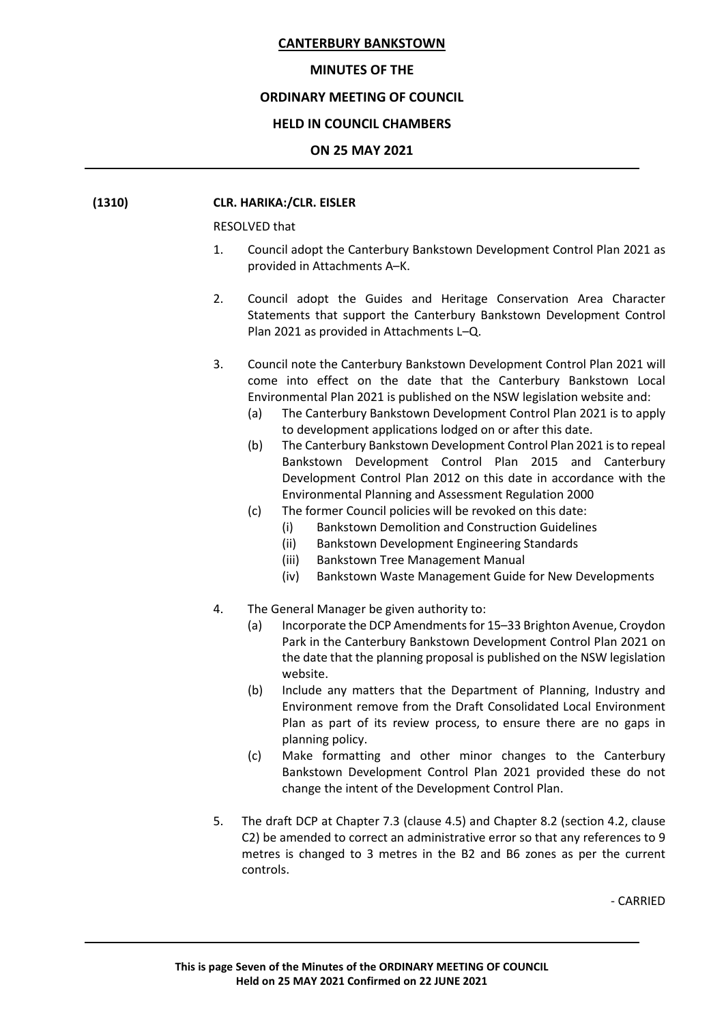#### **MINUTES OF THE**

#### **ORDINARY MEETING OF COUNCIL**

#### **HELD IN COUNCIL CHAMBERS**

#### **ON 25 MAY 2021**

#### **(1310) CLR. HARIKA:/CLR. EISLER**

RESOLVED that

- 1. Council adopt the Canterbury Bankstown Development Control Plan 2021 as provided in Attachments A–K.
- 2. Council adopt the Guides and Heritage Conservation Area Character Statements that support the Canterbury Bankstown Development Control Plan 2021 as provided in Attachments L–Q.
- 3. Council note the Canterbury Bankstown Development Control Plan 2021 will come into effect on the date that the Canterbury Bankstown Local Environmental Plan 2021 is published on the NSW legislation website and:
	- (a) The Canterbury Bankstown Development Control Plan 2021 is to apply to development applications lodged on or after this date.
	- (b) The Canterbury Bankstown Development Control Plan 2021 is to repeal Bankstown Development Control Plan 2015 and Canterbury Development Control Plan 2012 on this date in accordance with the Environmental Planning and Assessment Regulation 2000
	- (c) The former Council policies will be revoked on this date:
		- (i) Bankstown Demolition and Construction Guidelines
		- (ii) Bankstown Development Engineering Standards
		- (iii) Bankstown Tree Management Manual
		- (iv) Bankstown Waste Management Guide for New Developments
- 4. The General Manager be given authority to:
	- (a) Incorporate the DCP Amendments for 15–33 Brighton Avenue, Croydon Park in the Canterbury Bankstown Development Control Plan 2021 on the date that the planning proposal is published on the NSW legislation website.
	- (b) Include any matters that the Department of Planning, Industry and Environment remove from the Draft Consolidated Local Environment Plan as part of its review process, to ensure there are no gaps in planning policy.
	- (c) Make formatting and other minor changes to the Canterbury Bankstown Development Control Plan 2021 provided these do not change the intent of the Development Control Plan.
- 5. The draft DCP at Chapter 7.3 (clause 4.5) and Chapter 8.2 (section 4.2, clause C2) be amended to correct an administrative error so that any references to 9 metres is changed to 3 metres in the B2 and B6 zones as per the current controls.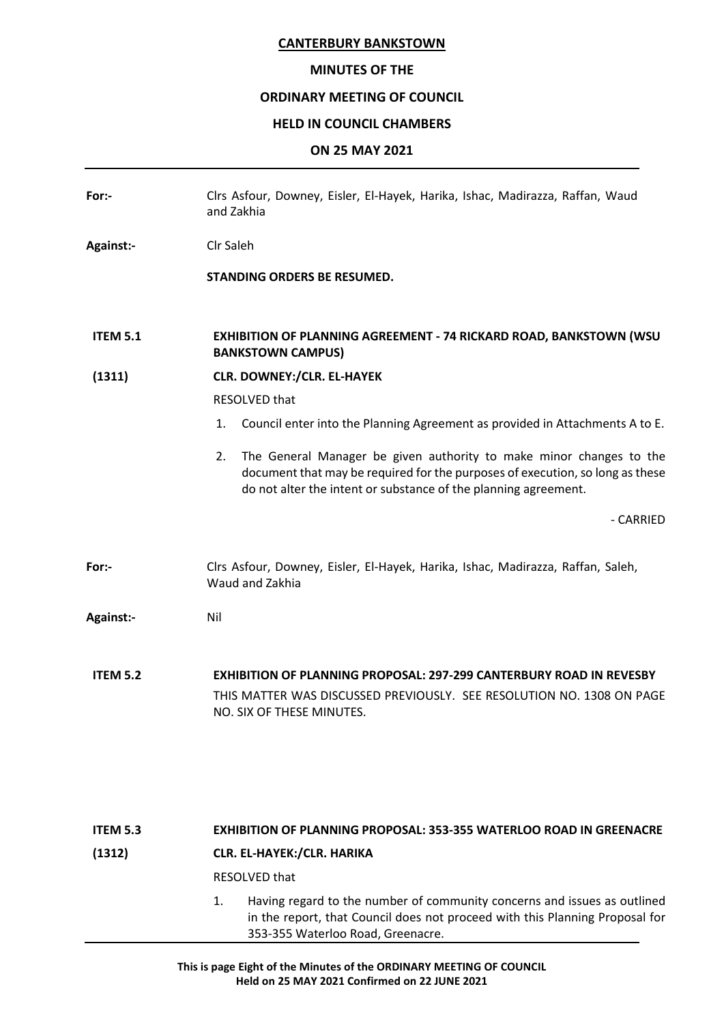## **MINUTES OF THE**

## **ORDINARY MEETING OF COUNCIL**

## **HELD IN COUNCIL CHAMBERS**

## **ON 25 MAY 2021**

| Clrs Asfour, Downey, Eisler, El-Hayek, Harika, Ishac, Madirazza, Raffan, Waud<br>and Zakhia                                                                                                                                   |  |
|-------------------------------------------------------------------------------------------------------------------------------------------------------------------------------------------------------------------------------|--|
| Clr Saleh                                                                                                                                                                                                                     |  |
| <b>STANDING ORDERS BE RESUMED.</b>                                                                                                                                                                                            |  |
| <b>EXHIBITION OF PLANNING AGREEMENT - 74 RICKARD ROAD, BANKSTOWN (WSU</b><br><b>BANKSTOWN CAMPUS)</b>                                                                                                                         |  |
| <b>CLR. DOWNEY:/CLR. EL-HAYEK</b>                                                                                                                                                                                             |  |
| RESOLVED that                                                                                                                                                                                                                 |  |
| Council enter into the Planning Agreement as provided in Attachments A to E.<br>1.                                                                                                                                            |  |
| The General Manager be given authority to make minor changes to the<br>2.<br>document that may be required for the purposes of execution, so long as these<br>do not alter the intent or substance of the planning agreement. |  |
| - CARRIED                                                                                                                                                                                                                     |  |
| Clrs Asfour, Downey, Eisler, El-Hayek, Harika, Ishac, Madirazza, Raffan, Saleh,<br>Waud and Zakhia                                                                                                                            |  |
| Nil                                                                                                                                                                                                                           |  |
| <b>EXHIBITION OF PLANNING PROPOSAL: 297-299 CANTERBURY ROAD IN REVESBY</b><br>THIS MATTER WAS DISCUSSED PREVIOUSLY. SEE RESOLUTION NO. 1308 ON PAGE<br>NO. SIX OF THESE MINUTES.                                              |  |
|                                                                                                                                                                                                                               |  |

## **ITEM 5.3 EXHIBITION OF PLANNING PROPOSAL: 353-355 WATERLOO ROAD IN GREENACRE**

## **(1312) CLR. EL-HAYEK:/CLR. HARIKA**

RESOLVED that

1. Having regard to the number of community concerns and issues as outlined in the report, that Council does not proceed with this Planning Proposal for 353-355 Waterloo Road, Greenacre.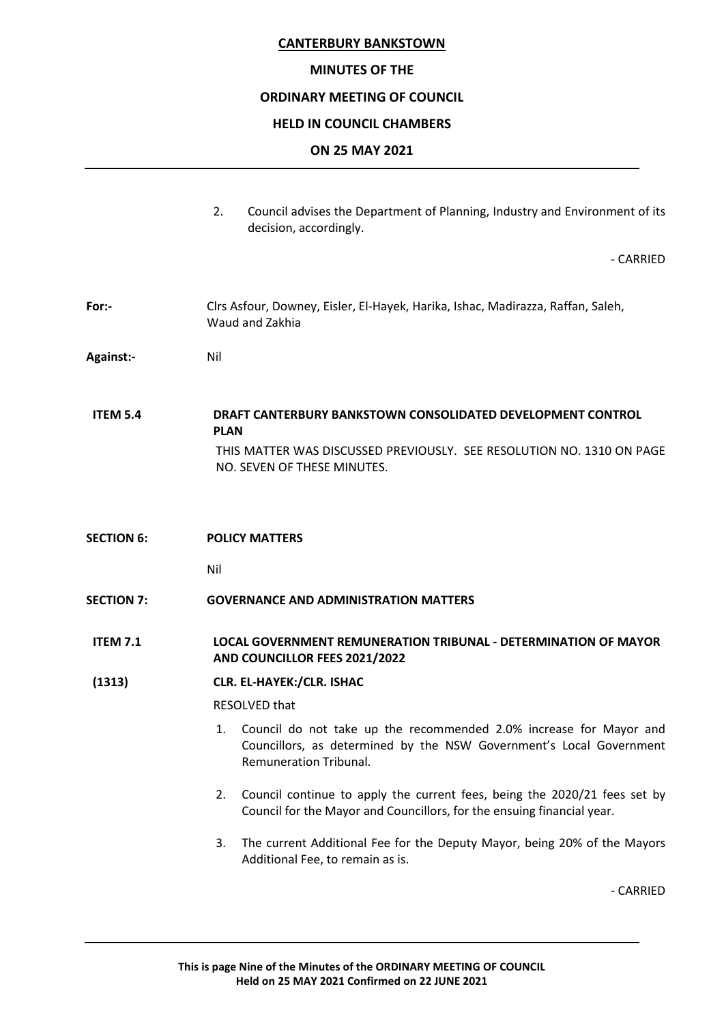#### **MINUTES OF THE**

#### **ORDINARY MEETING OF COUNCIL**

#### **HELD IN COUNCIL CHAMBERS**

#### **ON 25 MAY 2021**

2. Council advises the Department of Planning, Industry and Environment of its decision, accordingly.

- CARRIED

- **For:-** Clrs Asfour, Downey, Eisler, El-Hayek, Harika, Ishac, Madirazza, Raffan, Saleh, Waud and Zakhia
- **Against:-** Nil

**ITEM 5.4 DRAFT CANTERBURY BANKSTOWN CONSOLIDATED DEVELOPMENT CONTROL PLAN** THIS MATTER WAS DISCUSSED PREVIOUSLY. SEE RESOLUTION NO. 1310 ON PAGE NO. SEVEN OF THESE MINUTES.

**SECTION 6: POLICY MATTERS** 

Nil

**SECTION 7: GOVERNANCE AND ADMINISTRATION MATTERS**

#### **ITEM 7.1 LOCAL GOVERNMENT REMUNERATION TRIBUNAL - DETERMINATION OF MAYOR AND COUNCILLOR FEES 2021/2022**

**(1313) CLR. EL-HAYEK:/CLR. ISHAC**

RESOLVED that

- 1. Council do not take up the recommended 2.0% increase for Mayor and Councillors, as determined by the NSW Government's Local Government Remuneration Tribunal.
- 2. Council continue to apply the current fees, being the 2020/21 fees set by Council for the Mayor and Councillors, for the ensuing financial year.
- 3. The current Additional Fee for the Deputy Mayor, being 20% of the Mayors Additional Fee, to remain as is.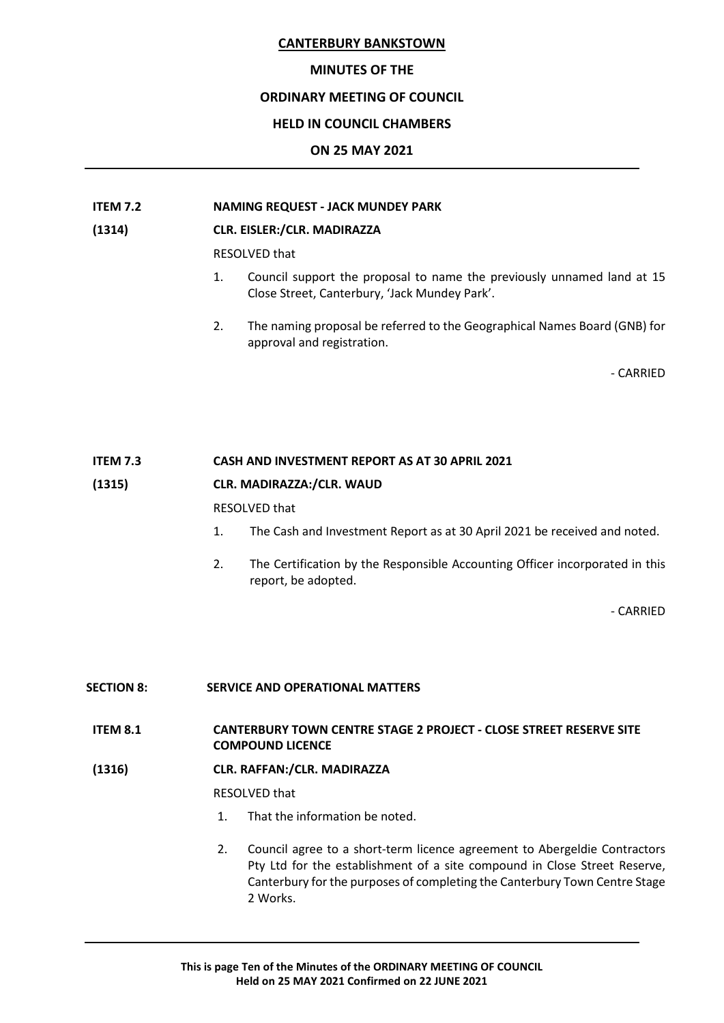## **MINUTES OF THE**

## **ORDINARY MEETING OF COUNCIL**

## **HELD IN COUNCIL CHAMBERS**

## **ON 25 MAY 2021**

## **ITEM 7.2 NAMING REQUEST - JACK MUNDEY PARK**

## **(1314) CLR. EISLER:/CLR. MADIRAZZA**

RESOLVED that

- 1. Council support the proposal to name the previously unnamed land at 15 Close Street, Canterbury, 'Jack Mundey Park'.
- 2. The naming proposal be referred to the Geographical Names Board (GNB) for approval and registration.

- CARRIED

## **ITEM 7.3 CASH AND INVESTMENT REPORT AS AT 30 APRIL 2021**

### **(1315) CLR. MADIRAZZA:/CLR. WAUD**

RESOLVED that

- 1. The Cash and Investment Report as at 30 April 2021 be received and noted.
- 2. The Certification by the Responsible Accounting Officer incorporated in this report, be adopted.

- CARRIED

## **SECTION 8: SERVICE AND OPERATIONAL MATTERS**

**ITEM 8.1 CANTERBURY TOWN CENTRE STAGE 2 PROJECT - CLOSE STREET RESERVE SITE COMPOUND LICENCE**

## **(1316) CLR. RAFFAN:/CLR. MADIRAZZA**

RESOLVED that

- 1. That the information be noted.
- 2. Council agree to a short-term licence agreement to Abergeldie Contractors Pty Ltd for the establishment of a site compound in Close Street Reserve, Canterbury for the purposes of completing the Canterbury Town Centre Stage 2 Works.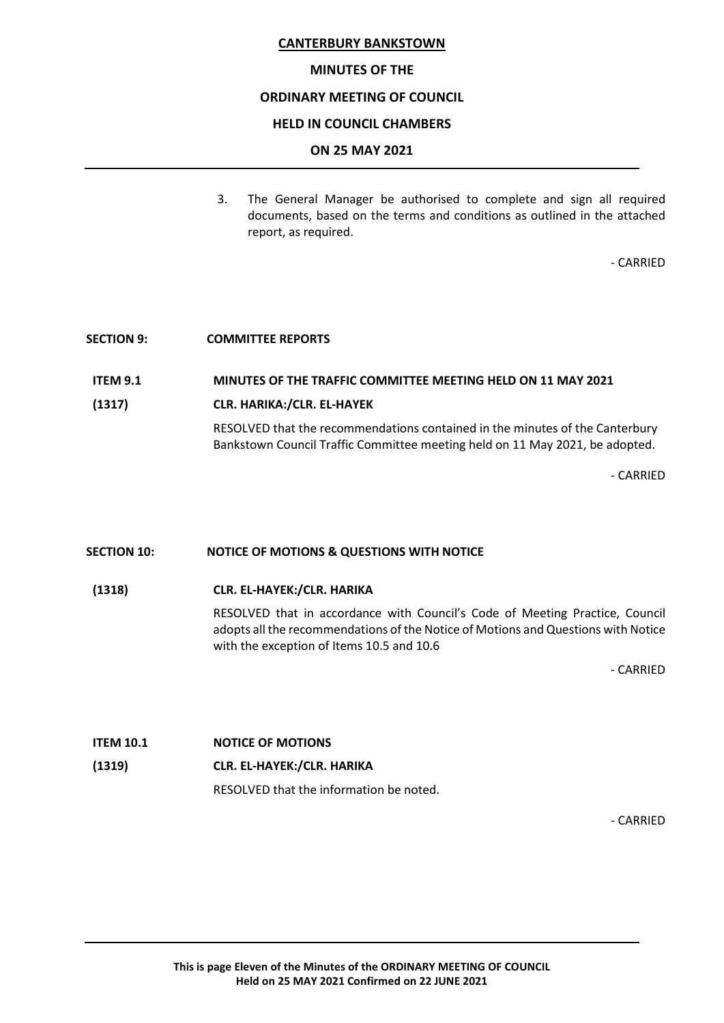#### **MINUTES OF THE**

### **ORDINARY MEETING OF COUNCIL**

#### **HELD IN COUNCIL CHAMBERS**

#### **ON 25 MAY 2021**

3. The General Manager be authorised to complete and sign all required documents, based on the terms and conditions as outlined in the attached report, as required.

- CARRIED

#### **SECTION 9: COMMITTEE REPORTS**

#### **ITEM 9.1 MINUTES OF THE TRAFFIC COMMITTEE MEETING HELD ON 11 MAY 2021**

#### **(1317) CLR. HARIKA:/CLR. EL-HAYEK**

RESOLVED that the recommendations contained in the minutes of the Canterbury Bankstown Council Traffic Committee meeting held on 11 May 2021, be adopted.

- CARRIED

#### **SECTION 10: NOTICE OF MOTIONS & QUESTIONS WITH NOTICE**

#### **(1318) CLR. EL-HAYEK:/CLR. HARIKA**

RESOLVED that in accordance with Council's Code of Meeting Practice, Council adopts all the recommendations of the Notice of Motions and Questions with Notice with the exception of Items 10.5 and 10.6

- CARRIED

# **ITEM 10.1 NOTICE OF MOTIONS (1319) CLR. EL-HAYEK:/CLR. HARIKA** RESOLVED that the information be noted.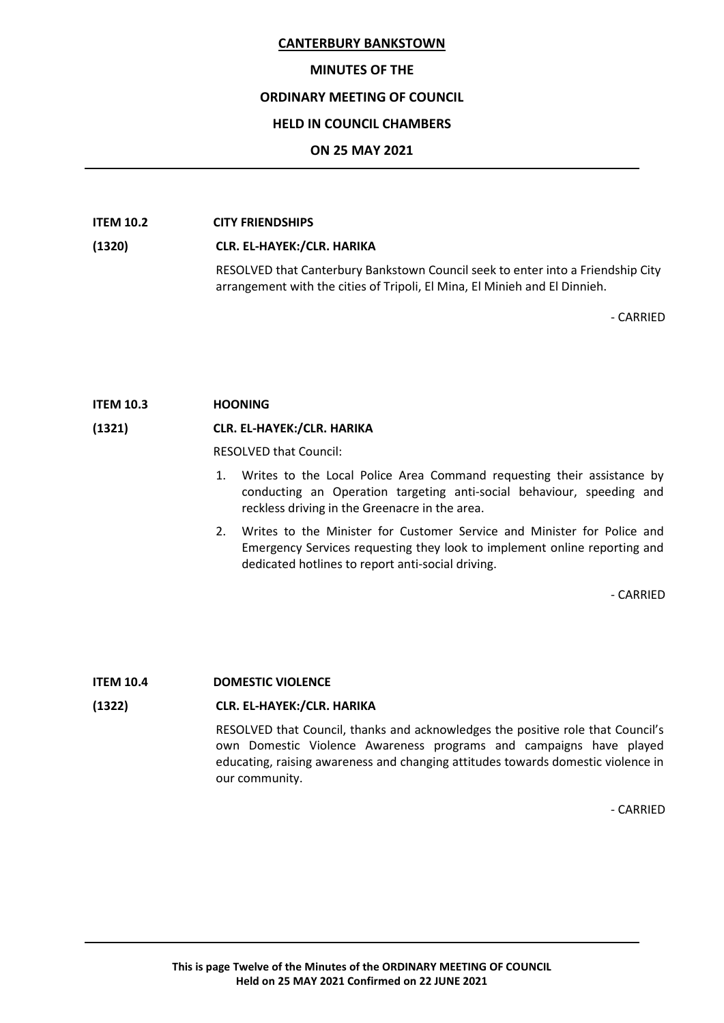#### **MINUTES OF THE**

### **ORDINARY MEETING OF COUNCIL**

#### **HELD IN COUNCIL CHAMBERS**

#### **ON 25 MAY 2021**

#### **ITEM 10.2 CITY FRIENDSHIPS**

### **(1320) CLR. EL-HAYEK:/CLR. HARIKA**

RESOLVED that Canterbury Bankstown Council seek to enter into a Friendship City arrangement with the cities of Tripoli, El Mina, El Minieh and El Dinnieh.

- CARRIED

#### **ITEM 10.3 HOONING**

#### **(1321) CLR. EL-HAYEK:/CLR. HARIKA**

RESOLVED that Council:

- 1. Writes to the Local Police Area Command requesting their assistance by conducting an Operation targeting anti-social behaviour, speeding and reckless driving in the Greenacre in the area.
- 2. Writes to the Minister for Customer Service and Minister for Police and Emergency Services requesting they look to implement online reporting and dedicated hotlines to report anti-social driving.

- CARRIED

### **ITEM 10.4 DOMESTIC VIOLENCE**

### **(1322) CLR. EL-HAYEK:/CLR. HARIKA**

RESOLVED that Council, thanks and acknowledges the positive role that Council's own Domestic Violence Awareness programs and campaigns have played educating, raising awareness and changing attitudes towards domestic violence in our community.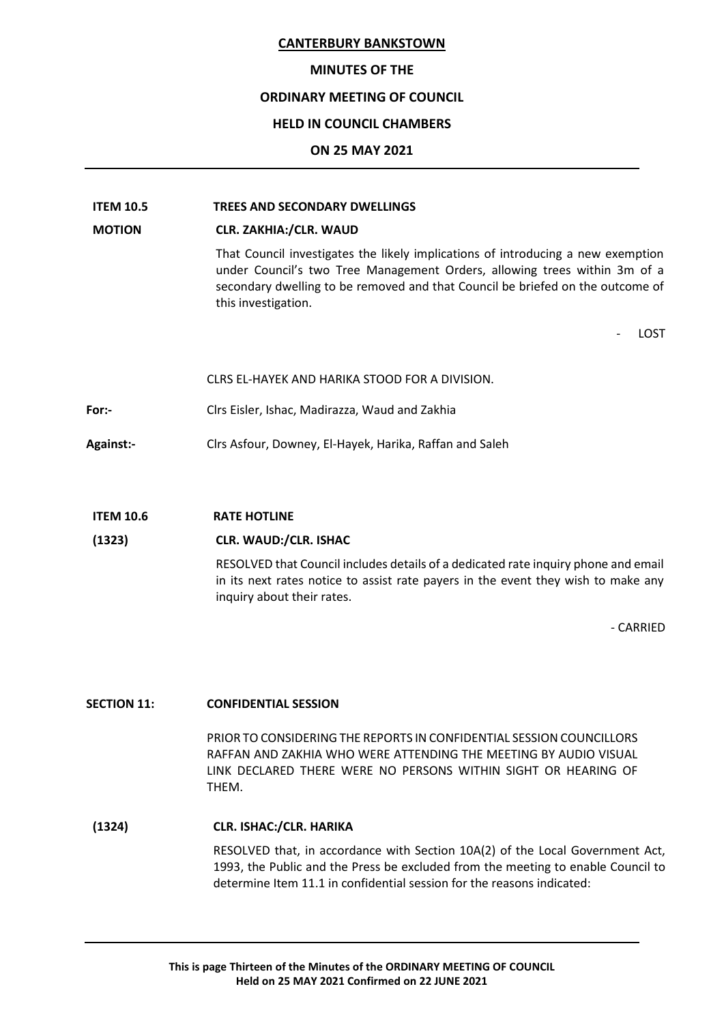### **MINUTES OF THE**

#### **ORDINARY MEETING OF COUNCIL**

#### **HELD IN COUNCIL CHAMBERS**

#### **ON 25 MAY 2021**

## **ITEM 10.5 TREES AND SECONDARY DWELLINGS**

#### **MOTION CLR. ZAKHIA:/CLR. WAUD**

That Council investigates the likely implications of introducing a new exemption under Council's two Tree Management Orders, allowing trees within 3m of a secondary dwelling to be removed and that Council be briefed on the outcome of this investigation.

**LOST** 

|                  | CLRS EL-HAYEK AND HARIKA STOOD FOR A DIVISION.          |
|------------------|---------------------------------------------------------|
| For:-            | Cirs Eisler, Ishac, Madirazza, Waud and Zakhia          |
| <b>Against:-</b> | Clrs Asfour, Downey, El-Hayek, Harika, Raffan and Saleh |

#### **ITEM 10.6 RATE HOTLINE**

#### **(1323) CLR. WAUD:/CLR. ISHAC**

RESOLVED that Council includes details of a dedicated rate inquiry phone and email in its next rates notice to assist rate payers in the event they wish to make any inquiry about their rates.

- CARRIED

## **SECTION 11: CONFIDENTIAL SESSION**

PRIOR TO CONSIDERING THE REPORTS IN CONFIDENTIAL SESSION COUNCILLORS RAFFAN AND ZAKHIA WHO WERE ATTENDING THE MEETING BY AUDIO VISUAL LINK DECLARED THERE WERE NO PERSONS WITHIN SIGHT OR HEARING OF THEM.

## **(1324) CLR. ISHAC:/CLR. HARIKA**

RESOLVED that, in accordance with Section 10A(2) of the Local Government Act, 1993, the Public and the Press be excluded from the meeting to enable Council to determine Item 11.1 in confidential session for the reasons indicated: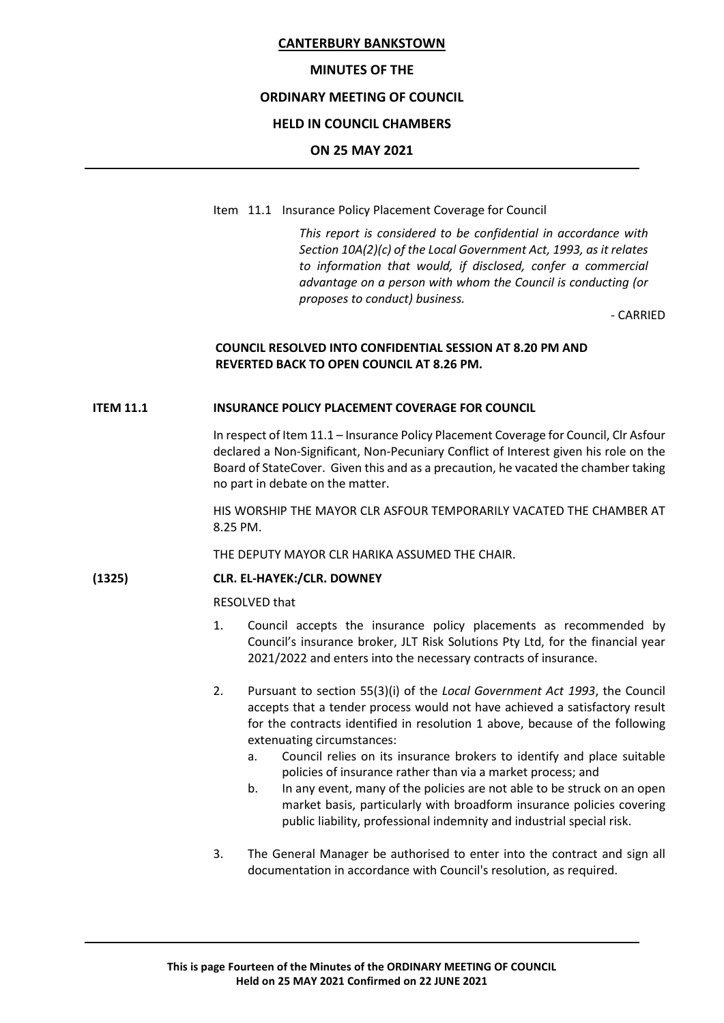#### **MINUTES OF THE**

## **ORDINARY MEETING OF COUNCIL**

#### **HELD IN COUNCIL CHAMBERS**

#### **ON 25 MAY 2021**

Item 11.1 Insurance Policy Placement Coverage for Council

*This report is considered to be confidential in accordance with Section 10A(2)(c) of the Local Government Act, 1993, as it relates to information that would, if disclosed, confer a commercial advantage on a person with whom the Council is conducting (or proposes to conduct) business.*

- CARRIED

## **COUNCIL RESOLVED INTO CONFIDENTIAL SESSION AT 8.20 PM AND REVERTED BACK TO OPEN COUNCIL AT 8.26 PM.**

#### **ITEM 11.1 INSURANCE POLICY PLACEMENT COVERAGE FOR COUNCIL**

In respect of Item 11.1 – Insurance Policy Placement Coverage for Council, Clr Asfour declared a Non-Significant, Non-Pecuniary Conflict of Interest given his role on the Board of StateCover. Given this and as a precaution, he vacated the chamber taking no part in debate on the matter.

HIS WORSHIP THE MAYOR CLR ASFOUR TEMPORARILY VACATED THE CHAMBER AT 8.25 PM.

THE DEPUTY MAYOR CLR HARIKA ASSUMED THE CHAIR.

#### **(1325) CLR. EL-HAYEK:/CLR. DOWNEY**

RESOLVED that

- 1. Council accepts the insurance policy placements as recommended by Council's insurance broker, JLT Risk Solutions Pty Ltd, for the financial year 2021/2022 and enters into the necessary contracts of insurance.
- 2. Pursuant to section 55(3)(i) of the *Local Government Act 1993*, the Council accepts that a tender process would not have achieved a satisfactory result for the contracts identified in resolution 1 above, because of the following extenuating circumstances:
	- a. Council relies on its insurance brokers to identify and place suitable policies of insurance rather than via a market process; and
	- b. In any event, many of the policies are not able to be struck on an open market basis, particularly with broadform insurance policies covering public liability, professional indemnity and industrial special risk.
- 3. The General Manager be authorised to enter into the contract and sign all documentation in accordance with Council's resolution, as required.